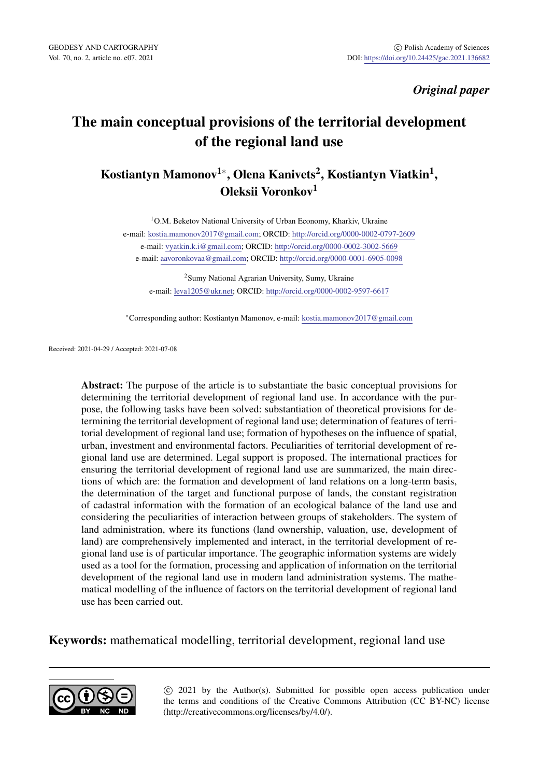GEODESY AND CARTOGRAPHY *GEODESY AND CARTOGRAPHY*  $\bullet$  Polish Academy of Sciences Vol. 70, no. 2, article no. e07, 2021 *ODI: https://doi.org/10.24425/gac.2021.136682* DOI: https://doi.org/10.24425/gac.2021.136682

# *[O](http://orcid.org/0000-0002-0797-2609)riginal paper*

# The main con[ceptual provis](mailto:aavoronkovaa@gmail.com)ion[s](http://orcid.org/0000-0002-3002-5669) [of the territorial dev](http://orcid.org/0000-0001-6905-0098)elopment of the regional land use

# Kostiantyn Mamonov<sup>1</sup>\*, Olena Kanivets<sup>2</sup>[, Kostiantyn Viatk](mailto:kostia.mamonov2017@gmail.com)in<sup>1</sup>, Oleksii Voronkov<sup>1</sup>

<sup>1</sup>O.M. Beketov National University of Urban Economy, Kharkiv, Ukraine e-mail: kostia.mamonov2017@gmail.com; ORCID: http://orcid.org/0000-0002-0797-2609 e-mail: vyatkin.k.i@gmail.com; ORCID: http://orcid.org/0000-0002-3002-5669 e-mail: aavoronkovaa@gmail.com; ORCID: http://orcid.org/0000-0001-6905-0098

<sup>2</sup>Sumy National Agrarian University, Sumy, Ukraine e-mail: leva1205@ukr.net; ORCID: http://orcid.org/0000-0002-9597-6617

*<sup>∗</sup>*Corresponding author: Kostiantyn Mamonov, e-mail: kostia.mamonov2017@gmail.com

Received: 2021-04-29 / Accepted: 2021-07-08

Abstract: The purpose of the article is to substantiate the basic conceptual provisions for determining the territorial development of regional land use. In accordance with the purpose, the following tasks have been solved: substantiation of theoretical provisions for determining the territorial development of regional land use; determination of features of territorial development of regional land use; formation of hypotheses on the influence of spatial, urban, investment and environmental factors. Peculiarities of territorial development of regional land use are determined. Legal support is proposed. The international practices for ensuring the territorial development of regional land use are summarized, the main directions of which are: the formation and development of land relations on a long-term basis, the determination of the target and functional purpose of lands, the constant registration of cadastral information with the formation of an ecological balance of the land use and considering the peculiarities of interaction between groups of stakeholders. The system of land administration, where its functions (land ownership, valuation, use, development of land) are comprehensively implemented and interact, in the territorial development of regional land use is of particular importance. The geographic information systems are widely used as a tool for the formation, processing and application of information on the territorial development of the regional land use in modern land administration systems. The mathematical modelling of the influence of factors on the territorial development of regional land use has been carried out.

#### Keywords: mathematical modelling, territorial development, regional land use



*⃝*c 2021 by the Author(s). Submitted for possible open access publication under the terms and conditions of the Creative Commons Attribution (CC BY-NC) license (http://creativecommons.org/licenses/by/4.0/).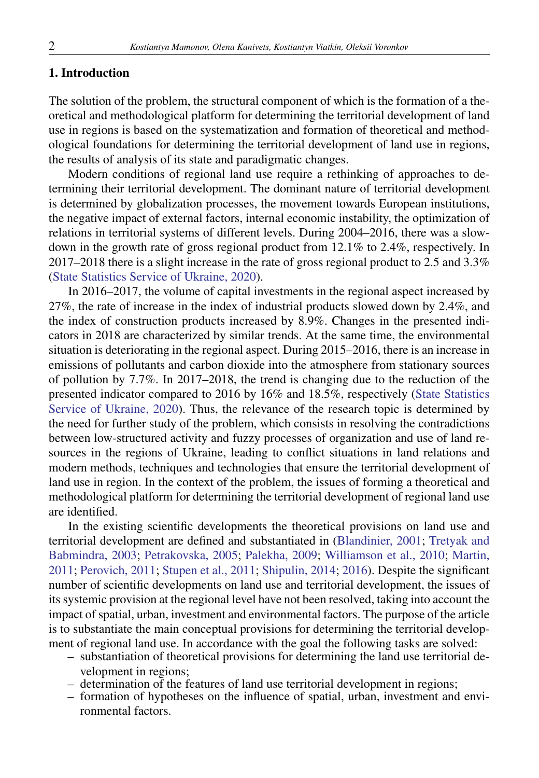# 2 *Kostiantyn Mamonov, Olena Kanivets, Kostiantyn Viatkin, Oleksii Voronkov*

# 1. Introduction

The solution of the problem, the structural component of which is the formation of a theoretical and methodological platform for determining the territorial development of land use in regions is based on the systematization and formation of theoretical and method[ological foundations for determining the](#page-10-0) territorial development of land use in regions, the results of analysis of its state and paradigmatic changes.

Modern conditions of regional land use require a rethinking of approaches to determining their territorial development. The dominant nature of territorial development is determined by globalization processes, the movement towards European institutions, the negative impact of external factors, internal economic instability, the optimization of relations in territorial systems of different levels. During 2004–2016, there was a slowdown in the growth rate of gross regional product from 12.1% to 2.4%, respectively. In 2017–2018 there is a slight increase in the rate of gross regional product t[o 2.5 and 3.3%](#page-10-0) [\(State Statistics Service of](#page-10-0) Ukraine, 2020).

In 2016–2017, the volume of capital investments in the regional aspect increased by 27%, the rate of increase in the index of industrial products slowed down by 2.4%, and the index of construction products increased by 8.9%. Changes in the presented indicators in 2018 are characterized by similar trends. At the same time, the environmental situation is deteriorating in the regional aspect. During 2015–2016, there is an increase in emissions of pollutants and carbon dioxide into the atmosphere from stationary sources of pollution by 7.7%. In 2017–2018, the trend is changing due to the reduction of the presented indicator compared to 2016 by 16% and 18.5%, respectively (State Statistics Service of Ukraine, 2020). Thus, the relevance of the r[esearch topic is d](#page-10-0)e[termined by](#page-10-0) [the need for further study of the probl](#page-10-0)e[m, which cons](#page-10-0)i[sts in resolving the contradictions](#page-10-0) [between low-structured activity and fuzzy processes of o](#page-10-0)r[ganiza](#page-10-0)tion and use of land resources in the regions of Ukraine, leading to conflict situations in land relations and modern methods, techniques and technologies that ensure the territorial development of land use in region. In the context of the problem, the issues of forming a theoretical and methodological platform for determining the territorial development of regional land use are identified.

In the existing scientific developments the theoretical provisions on land use and territorial development are defined and substantiated in (Blandinier, 2001; Tretyak and Babmindra, 2003; Petrakovska, 2005; Palekha, 2009; Williamson et al., 2010; Martin, 2011; Perovich, 2011; Stupen et al., 2011; Shipulin, 2014; 2016). Despite the significant number of scientific developments on land use and territorial development, the issues of its systemic provision at the regional level have not been resolved, taking into account the impact of spatial, urban, investment and environmental factors. The purpose of the article is to substantiate the main conceptual provisions for determining the territorial development of regional land use. In accordance with the goal the following tasks are solved:

- substantiation of theoretical provisions for determining the land use territorial development in regions;
- determination of the features of land use territorial development in regions;
- formation of hypotheses on the influence of spatial, urban, investment and environmental factors.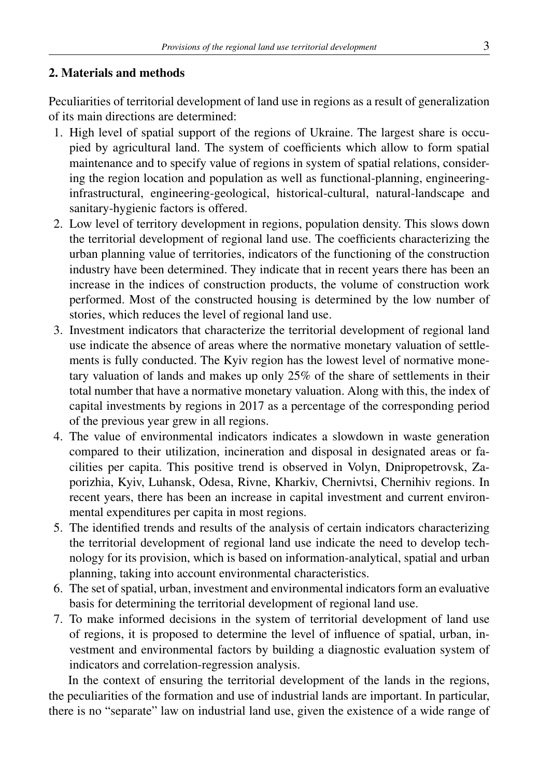# 2. Materials and methods

Peculiarities of territorial development of land use in regions as a result of generalization of its main directions are determined:

- 1. High level of spatial support of the regions of Ukraine. The largest share is occupied by agricultural land. The system of coefficients which allow to form spatial maintenance and to specify value of regions in system of spatial relations, considering the region location and population as well as functional-planning, engineeringinfrastructural, engineering-geological, historical-cultural, natural-landscape and sanitary-hygienic factors is offered.
- 2. Low level of territory development in regions, population density. This slows down the territorial development of regional land use. The coefficients characterizing the urban planning value of territories, indicators of the functioning of the construction industry have been determined. They indicate that in recent years there has been an increase in the indices of construction products, the volume of construction work performed. Most of the constructed housing is determined by the low number of stories, which reduces the level of regional land use.
- 3. Investment indicators that characterize the territorial development of regional land use indicate the absence of areas where the normative monetary valuation of settlements is fully conducted. The Kyiv region has the lowest level of normative monetary valuation of lands and makes up only 25% of the share of settlements in their total number that have a normative monetary valuation. Along with this, the index of capital investments by regions in 2017 as a percentage of the corresponding period of the previous year grew in all regions.
- 4. The value of environmental indicators indicates a slowdown in waste generation compared to their utilization, incineration and disposal in designated areas or facilities per capita. This positive trend is observed in Volyn, Dnipropetrovsk, Zaporizhia, Kyiv, Luhansk, Odesa, Rivne, Kharkiv, Chernivtsi, Chernihiv regions. In recent years, there has been an increase in capital investment and current environmental expenditures per capita in most regions.
- 5. The identified trends and results of the analysis of certain indicators characterizing the territorial development of regional land use indicate the need to develop technology for its provision, which is based on information-analytical, spatial and urban planning, taking into account environmental characteristics.
- 6. The set of spatial, urban, investment and environmental indicators form an evaluative basis for determining the territorial development of regional land use.
- 7. To make informed decisions in the system of territorial development of land use of regions, it is proposed to determine the level of influence of spatial, urban, investment and environmental factors by building a diagnostic evaluation system of indicators and correlation-regression analysis.

In the context of ensuring the territorial development of the lands in the regions, the peculiarities of the formation and use of industrial lands are important. In particular, there is no "separate" law on industrial land use, given the existence of a wide range of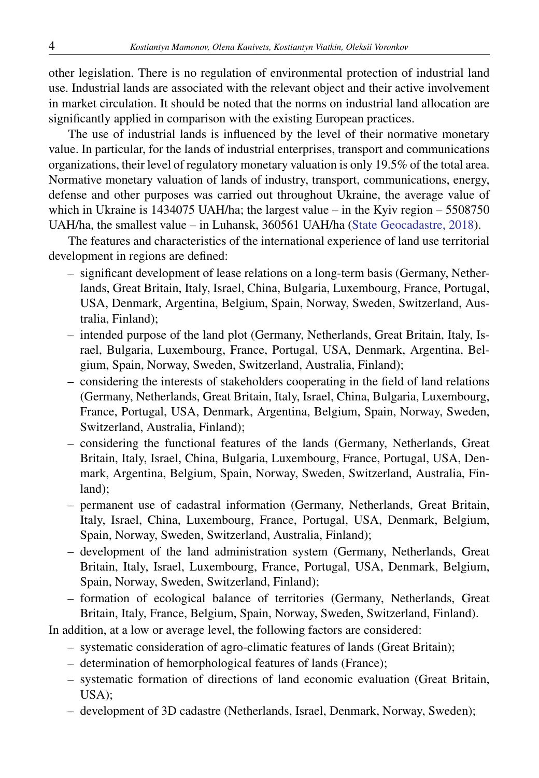# 4 *Kostiantyn Mamonov, Olena Kanivets, Kostiantyn Viatkin, Oleksii Voronkov*

other legislation. There is no regulation of environmental protection of industrial land use. Industrial lands are associated with the relevant object [and their active involvem](#page-10-0)ent in market circulation. It should be noted that the norms on industrial land allocation are significantly applied in comparison with the existing European practices.

The use of industrial lands is influenced by the level of their normative monetary value. In particular, for the lands of industrial enterprises, transport and communications organizations, their level of regulatory monetary valuation is only 19.5% of the total area. Normative monetary valuation of lands of industry, transport, communications, energy, defense and other purposes was carried out throughout Ukraine, the average value of which in Ukraine is 1434075 UAH/ha; the largest value – in the Kyiv region – 5508750 UAH/ha, the smallest value – in Luhansk, 360561 UAH/ha (State Geocadastre, 2018).

The features and characteristics of the international experience of land use territorial development in regions are defined:

- significant development of lease relations on a long-term basis (Germany, Netherlands, Great Britain, Italy, Israel, China, Bulgaria, Luxembourg, France, Portugal, USA, Denmark, Argentina, Belgium, Spain, Norway, Sweden, Switzerland, Australia, Finland);
- intended purpose of the land plot (Germany, Netherlands, Great Britain, Italy, Israel, Bulgaria, Luxembourg, France, Portugal, USA, Denmark, Argentina, Belgium, Spain, Norway, Sweden, Switzerland, Australia, Finland);
- considering the interests of stakeholders cooperating in the field of land relations (Germany, Netherlands, Great Britain, Italy, Israel, China, Bulgaria, Luxembourg, France, Portugal, USA, Denmark, Argentina, Belgium, Spain, Norway, Sweden, Switzerland, Australia, Finland);
- considering the functional features of the lands (Germany, Netherlands, Great Britain, Italy, Israel, China, Bulgaria, Luxembourg, France, Portugal, USA, Denmark, Argentina, Belgium, Spain, Norway, Sweden, Switzerland, Australia, Finland);
- permanent use of cadastral information (Germany, Netherlands, Great Britain, Italy, Israel, China, Luxembourg, France, Portugal, USA, Denmark, Belgium, Spain, Norway, Sweden, Switzerland, Australia, Finland);
- development of the land administration system (Germany, Netherlands, Great Britain, Italy, Israel, Luxembourg, France, Portugal, USA, Denmark, Belgium, Spain, Norway, Sweden, Switzerland, Finland);
- formation of ecological balance of territories (Germany, Netherlands, Great Britain, Italy, France, Belgium, Spain, Norway, Sweden, Switzerland, Finland).

In addition, at a low or average level, the following factors are considered:

- systematic consideration of agro-climatic features of lands (Great Britain);
- determination of hemorphological features of lands (France);
- systematic formation of directions of land economic evaluation (Great Britain, USA);
- development of 3D cadastre (Netherlands, Israel, Denmark, Norway, Sweden);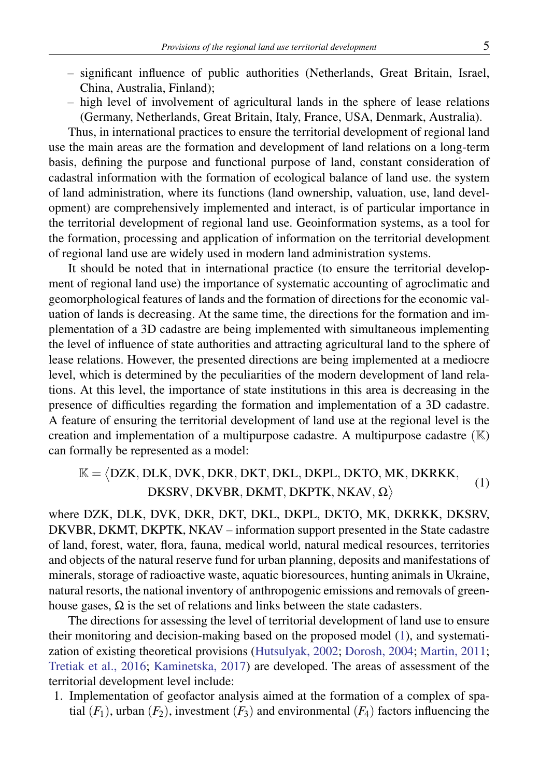# *Provisions of the regional land use territorial development* 5

- significant influence of public authorities (Netherlands, Great Britain, Israel, China, Australia, Finland);
- high level of involvement of agricultural lands in the sphere of lease relations (Germany, Netherlands, Great Britain, Italy, France, USA, Denmark, Australia).

Thus, in international practices to ensure the territorial development of regional land use the main areas are the formation and development of land relations on a long-term basis, defining the purpose and functional purpose of land, constant consideration of cadastral information with the formation of ecological balance of land use. the system of land administration, where its functions (land ownership, valuation, use, land development) are comprehensively implemented and interact, is of particular importance in the territorial development of regional land use. Geoinformation systems, as a tool for the formation, processing and application of information on the territorial development of regional land use are widely used in modern land administration systems.

It should be noted that in international practice (to ensure the territorial development of regional land use) the importance of systematic accounting of agroclimatic and geomorphological features of lands and the formation of directions for the economic valuation of lands is decreasing. At the same time, the directions for the formation and implementation of a 3D cadastre are being implemented with simultaneous implementing the level of influence of state authorities and attracting agricultural land to the sphere of lease relations. However, the presented directions are being implemented at a mediocre level, which is determined by the peculiarities of the modern development of land relations. At this level, the importance of state institutions in this area is decreasing in the presence of difficulties regarding the formation and implementation of a 3D cadastre. A feature of ensuring the territorial development of land use at the regional level is the creation and implementation of a multipurpose cadastre. A multipurpose cadastre (K) can formally be represented as a model:

#### K = ⟨ DZK*,* DLK*,* DVK*,* DKR*,* DKT*,* DKL*,* DKPL*,* DKTO*,* MK*,* DKRKK*,* DKSRV*,* DKVBR*,* DKMT*,* DKPTK*,* NKAV*,* Ω  $\rightarrow$  (1)

where DZK, DLK, DVK, DKR, DKT, [DKL, DKPL, DKTO, MK, DKRKK, DKSRV](#page-10-0), [DKVBR, DKMT, DKPTK, NKAV – inf](#page-10-0)ormation support presented in the State cadastre of land, forest, water, flora, fauna, medical world, natural medical resources, territories and objects of the natural reserve fund for urban planning, deposits and manifestations of minerals, storage of radioactive waste, aquatic bioresources, hunting animals in Ukraine, natural resorts, the national inventory of anthropogenic emissions and removals of greenhouse gases,  $\Omega$  is the set of relations and links between the state cadasters.

The directions for assessing the level of territorial development of land use to ensure their monitoring and decision-making based on the proposed model (1), and systematization of existing theoretical provisions (Hutsulyak, 2002; Dorosh, 2004; Martin, 2011; Tretiak et al., 2016; Kaminetska, 2017) are developed. The areas of assessment of the territorial development level include:

1. Implementation of geofactor analysis aimed at the formation of a complex of spatial  $(F_1)$ , urban  $(F_2)$ , investment  $(F_3)$  and environmental  $(F_4)$  factors influencing the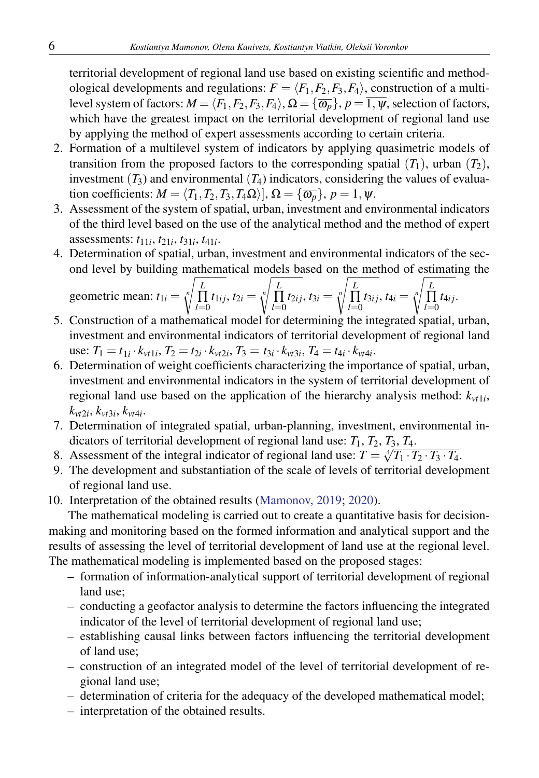# 6 *Kostiantyn Mamonov, Olena Kanivets, Kostiantyn Viatkin, Oleksii Voronkov*

territorial development of regional land use based on existing scientific and methodological developments and regulations:  $F = \langle F_1, F_2, F_3, F_4 \rangle$ , construction of a multilevel system of factors:  $M = \langle F_1, F_2, F_3, F_4 \rangle$ ,  $\Omega = \{ \overline{\omega_p} \}$ ,  $p = \overline{1, \psi}$ , selection of factors, which have the greatest impact on the territorial development of regional land use by applying the method of expert assessments according to certain criteria.

- 2. Formation of a multilevel system of indicators by applying quasimetric models of transition from the proposed factors to the corresponding spatial  $(T_1)$ , urban  $(T_2)$ , investment  $(T_3)$  and environmental  $(T_4)$  indicators, considering the values of evaluation coefficients:  $M = \langle T_1, T_2, T_3, T_4\Omega \rangle$ ,  $\Omega = \{ \overline{\omega_p} \}, p = \overline{1, \psi}$ .
- 3. Assessment of the system of spatial, urban, investment and environmental indicators of the third level based on the use of the analytical method and the method of expert assessments: *t*11*<sup>i</sup>* , *t*21*<sup>i</sup>* , *t*31*<sup>i</sup>* , *t*41*<sup>i</sup>* .
- 4. Determination of spatial, urban, investment and environmental indicators of the second level by building mathematical models based on the method of estimating the

geometric mean: 
$$
t_{1i} = \sqrt[n]{\prod_{l=0}^{L} t_{1ij}}
$$
,  $t_{2i} = \sqrt[n]{\prod_{l=0}^{L} t_{2ij}}$ ,  $t_{3i} = \sqrt[n]{\prod_{l=0}^{L} t_{3ij}}$ ,  $t_{4i} = \sqrt[n]{\prod_{l=0}^{L} t_{4ij}}$ .  
Construction of a mathematical model for determining the integrated capital

- 5. Construction of a mathematical model for determining the integrated spatial, urban, investment and environmental indicators of territorial development of regional land use:  $T_1 = t_{1i} \cdot k_{vt1i}$ ,  $T_2 = t_{2i} \cdot k_{vt2i}$ ,  $T_3 = t_{3i} \cdot k_{vt3i}$ ,  $T_4 = t_{4i} \cdot k_{vt4i}$ .
- 6. Determination of weight coefficients [characterizing the impor](#page-10-0)tance of spatial, urban, investment and environmental indicators in the system of territorial development of regional land use based on the application of the hierarchy analysis method:  $k_{vt1i}$ ,  $k_{vt2i}, k_{vt3i}, k_{vt4i}.$
- 7. Determination of integrated spatial, urban-planning, investment, environmental indicators of territorial development of regional land use:  $T_1$ ,  $T_2$ ,  $T_3$ ,  $T_4$ .
- 8. Assessment of the integral indicator of regional land use:  $T = \sqrt[4]{T_1 \cdot T_2 \cdot T_3 \cdot T_4}$ .
- 9. The development and substantiation of the scale of levels of territorial development of regional land use.
- 10. Interpretation of the obtained results (Mamonov, 2019; 2020).

The mathematical modeling is carried out to create a quantitative basis for decisionmaking and monitoring based on the formed information and analytical support and the results of assessing the level of territorial development of land use at the regional level. The mathematical modeling is implemented based on the proposed stages:

- formation of information-analytical support of territorial development of regional land use;
- conducting a geofactor analysis to determine the factors influencing the integrated indicator of the level of territorial development of regional land use;
- establishing causal links between factors influencing the territorial development of land use;
- construction of an integrated model of the level of territorial development of regional land use;
- determination of criteria for the adequacy of the developed mathematical model;
- interpretation of the obtained results.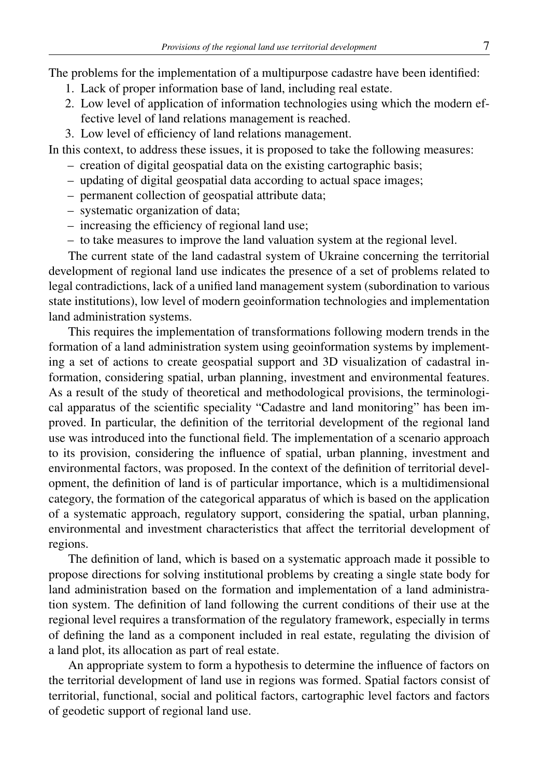The problems for the implementation of a multipurpose cadastre have been identified:

- 1. Lack of proper information base of land, including real estate.
- 2. Low level of application of information technologies using which the modern effective level of land relations management is reached.
- 3. Low level of efficiency of land relations management.

In this context, to address these issues, it is proposed to take the following measures:

- creation of digital geospatial data on the existing cartographic basis;
- updating of digital geospatial data according to actual space images;
- permanent collection of geospatial attribute data;
- systematic organization of data;
- increasing the efficiency of regional land use;
- to take measures to improve the land valuation system at the regional level.

The current state of the land cadastral system of Ukraine concerning the territorial development of regional land use indicates the presence of a set of problems related to legal contradictions, lack of a unified land management system (subordination to various state institutions), low level of modern geoinformation technologies and implementation land administration systems.

This requires the implementation of transformations following modern trends in the formation of a land administration system using geoinformation systems by implementing a set of actions to create geospatial support and 3D visualization of cadastral information, considering spatial, urban planning, investment and environmental features. As a result of the study of theoretical and methodological provisions, the terminological apparatus of the scientific speciality "Cadastre and land monitoring" has been improved. In particular, the definition of the territorial development of the regional land use was introduced into the functional field. The implementation of a scenario approach to its provision, considering the influence of spatial, urban planning, investment and environmental factors, was proposed. In the context of the definition of territorial development, the definition of land is of particular importance, which is a multidimensional category, the formation of the categorical apparatus of which is based on the application of a systematic approach, regulatory support, considering the spatial, urban planning, environmental and investment characteristics that affect the territorial development of regions.

The definition of land, which is based on a systematic approach made it possible to propose directions for solving institutional problems by creating a single state body for land administration based on the formation and implementation of a land administration system. The definition of land following the current conditions of their use at the regional level requires a transformation of the regulatory framework, especially in terms of defining the land as a component included in real estate, regulating the division of a land plot, its allocation as part of real estate.

An appropriate system to form a hypothesis to determine the influence of factors on the territorial development of land use in regions was formed. Spatial factors consist of territorial, functional, social and political factors, cartographic level factors and factors of geodetic support of regional land use.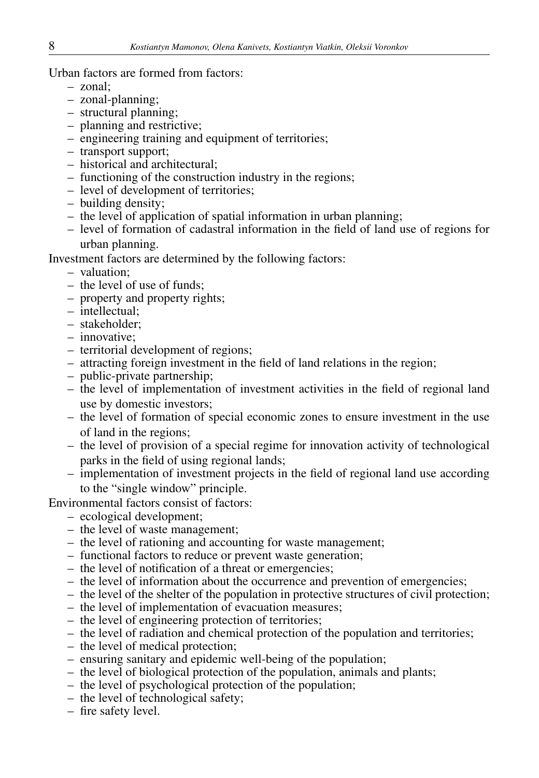Urban factors are formed from factors:

- zonal;
- zonal-planning;
- structural planning;
- planning and restrictive;
- engineering training and equipment of territories;
- transport support;
- historical and architectural;
- functioning of the construction industry in the regions;
- level of development of territories;
- building density;
- the level of application of spatial information in urban planning;
- level of formation of cadastral information in the field of land use of regions for urban planning.

Investment factors are determined by the following factors:

- valuation;
- the level of use of funds;
- property and property rights;
- intellectual;
- stakeholder;
- innovative;
- territorial development of regions;
- attracting foreign investment in the field of land relations in the region;
- public-private partnership;
- the level of implementation of investment activities in the field of regional land use by domestic investors;
- the level of formation of special economic zones to ensure investment in the use of land in the regions;
- the level of provision of a special regime for innovation activity of technological parks in the field of using regional lands;
- implementation of investment projects in the field of regional land use according to the "single window" principle.

Environmental factors consist of factors:

- ecological development;
- the level of waste management;
- the level of rationing and accounting for waste management;
- functional factors to reduce or prevent waste generation;
- the level of notification of a threat or emergencies;
- the level of information about the occurrence and prevention of emergencies;
- the level of the shelter of the population in protective structures of civil protection;
- the level of implementation of evacuation measures;
- the level of engineering protection of territories;
- the level of radiation and chemical protection of the population and territories;
- the level of medical protection;
- ensuring sanitary and epidemic well-being of the population;
- the level of biological protection of the population, animals and plants;
- the level of psychological protection of the population;
- the level of technological safety;
- fire safety level.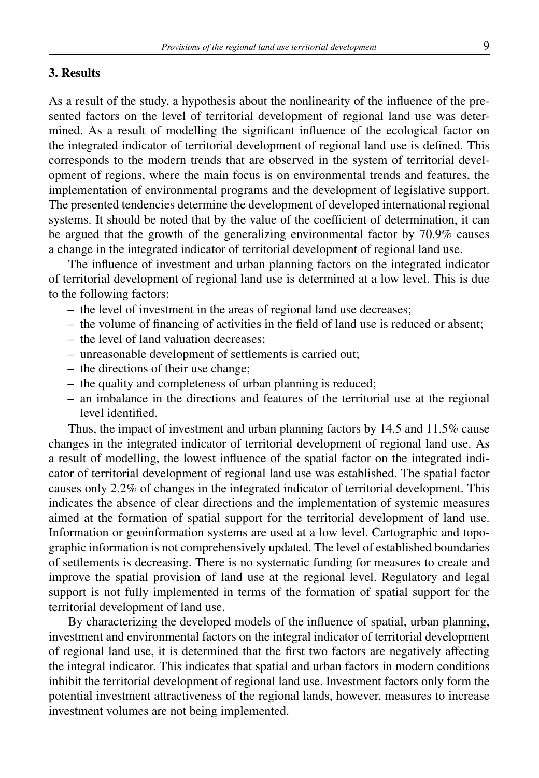# 3. Results

As a result of the study, a hypothesis about the nonlinearity of the influence of the presented factors on the level of territorial development of regional land use was determined. As a result of modelling the significant influence of the ecological factor on the integrated indicator of territorial development of regional land use is defined. This corresponds to the modern trends that are observed in the system of territorial development of regions, where the main focus is on environmental trends and features, the implementation of environmental programs and the development of legislative support. The presented tendencies determine the development of developed international regional systems. It should be noted that by the value of the coefficient of determination, it can be argued that the growth of the generalizing environmental factor by 70.9% causes a change in the integrated indicator of territorial development of regional land use.

The influence of investment and urban planning factors on the integrated indicator of territorial development of regional land use is determined at a low level. This is due to the following factors:

- the level of investment in the areas of regional land use decreases;
- the volume of financing of activities in the field of land use is reduced or absent;
- the level of land valuation decreases;
- unreasonable development of settlements is carried out;
- the directions of their use change;
- the quality and completeness of urban planning is reduced;
- an imbalance in the directions and features of the territorial use at the regional level identified.

Thus, the impact of investment and urban planning factors by 14.5 and 11.5% cause changes in the integrated indicator of territorial development of regional land use. As a result of modelling, the lowest influence of the spatial factor on the integrated indicator of territorial development of regional land use was established. The spatial factor causes only 2.2% of changes in the integrated indicator of territorial development. This indicates the absence of clear directions and the implementation of systemic measures aimed at the formation of spatial support for the territorial development of land use. Information or geoinformation systems are used at a low level. Cartographic and topographic information is not comprehensively updated. The level of established boundaries of settlements is decreasing. There is no systematic funding for measures to create and improve the spatial provision of land use at the regional level. Regulatory and legal support is not fully implemented in terms of the formation of spatial support for the territorial development of land use.

By characterizing the developed models of the influence of spatial, urban planning, investment and environmental factors on the integral indicator of territorial development of regional land use, it is determined that the first two factors are negatively affecting the integral indicator. This indicates that spatial and urban factors in modern conditions inhibit the territorial development of regional land use. Investment factors only form the potential investment attractiveness of the regional lands, however, measures to increase investment volumes are not being implemented.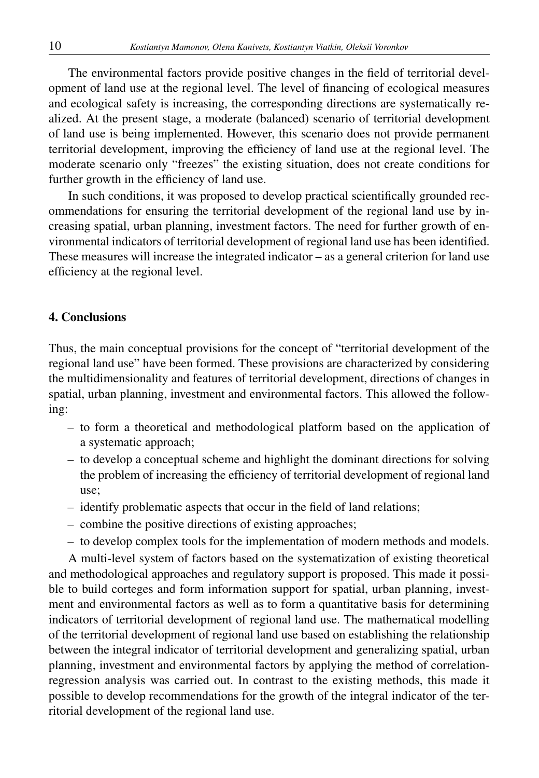The environmental factors provide positive changes in the field of territorial development of land use at the regional level. The level of financing of ecological measures and ecological safety is increasing, the corresponding directions are systematically realized. At the present stage, a moderate (balanced) scenario of territorial development of land use is being implemented. However, this scenario does not provide permanent territorial development, improving the efficiency of land use at the regional level. The moderate scenario only "freezes" the existing situation, does not create conditions for further growth in the efficiency of land use.

In such conditions, it was proposed to develop practical scientifically grounded recommendations for ensuring the territorial development of the regional land use by increasing spatial, urban planning, investment factors. The need for further growth of environmental indicators of territorial development of regional land use has been identified. These measures will increase the integrated indicator – as a general criterion for land use efficiency at the regional level.

## 4. Conclusions

Thus, the main conceptual provisions for the concept of "territorial development of the regional land use" have been formed. These provisions are characterized by considering the multidimensionality and features of territorial development, directions of changes in spatial, urban planning, investment and environmental factors. This allowed the following:

- to form a theoretical and methodological platform based on the application of a systematic approach;
- to develop a conceptual scheme and highlight the dominant directions for solving the problem of increasing the efficiency of territorial development of regional land use;
- identify problematic aspects that occur in the field of land relations;
- combine the positive directions of existing approaches;
- to develop complex tools for the implementation of modern methods and models.

A multi-level system of factors based on the systematization of existing theoretical and methodological approaches and regulatory support is proposed. This made it possible to build corteges and form information support for spatial, urban planning, investment and environmental factors as well as to form a quantitative basis for determining indicators of territorial development of regional land use. The mathematical modelling of the territorial development of regional land use based on establishing the relationship between the integral indicator of territorial development and generalizing spatial, urban planning, investment and environmental factors by applying the method of correlationregression analysis was carried out. In contrast to the existing methods, this made it possible to develop recommendations for the growth of the integral indicator of the territorial development of the regional land use.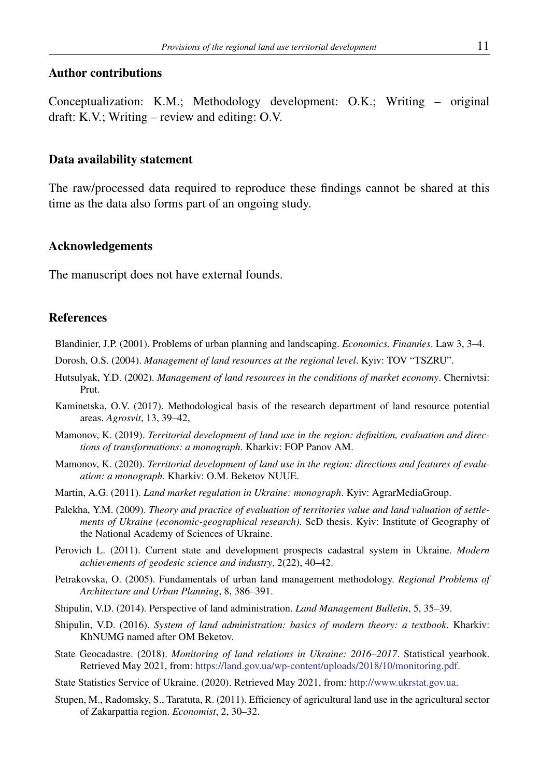## Author contributions

Conceptualization: K.M.; Methodology development: O.K.; Writing – original draft: K.V.; Writing – review and editing: O.V.

#### Data availability statement

<span id="page-10-0"></span>The raw/processed data required to reproduce these findings cannot be shared at this time as the data also forms part of an ongoing study.

## Acknowledgements

The manuscript does not have external founds.

#### References

Blandinier, J.P. (2001). Problems of urban planning and landscaping. *Economics. Finan´nes*. Law 3, 3–4.

Dorosh, O.S. (2004). *Management of land resources at the regional level*. Kyiv: TOV "TSZRU".

- Hutsulyak, Y.D. (2002). *Management of land resources in the conditions of market economy*. Chernivtsi: Prut.
- Kaminetska, O.V. (2017). Methodological basis of the research department of land resource potential areas. *Agrosvit*, 13, 39–42,
- Mamonov, K. (2019). *Territorial development of land use in the region: definition, evaluation and directions of transformations: a monograph*. Kharkiv: FOP Panov AM.
- Mamonov, K. (2020). *Territorial development of land use in the region: directions and features of evaluation: a monograph*. Kharkiv: O.M. Beketov NUUE.
- Martin, A.G. (2011). *Land market regulation in Ukraine: monograph*. Kyiv: AgrarMediaGroup.
- Palekha, Y.M. (2009). *Theory and practice of evaluation of territories value and land valuation of settlements of Ukraine (economic-geographical research)*. ScD thesis. Kyiv: Institute of Geography of the National Academy of S[ciences of Ukraine.](https://land.gov.ua/wp-content/uploads/2018/10/monitoring.pdf)
- Perovich L. (2011). Current state and development prospects cada[stral system in Ukraine.](http://www.ukrstat.gov.ua) *Modern achievements of geodesic science and industry*, 2(22), 40–42.
- Petrakovska, O. (2005). Fundamentals of urban land management methodology. *Regional Problems of Architecture and Urban Planning*, 8, 386–391.
- Shipulin, V.D. (2014). Perspective of land administration. *Land Management Bulletin*, 5, 35–39.
- Shipulin, V.D. (2016). *System of land administration: basics of modern theory: a textbook*. Kharkiv: KhNUMG named after OM Beketov.
- State Geocadastre. (2018). *Monitoring of land relations in Ukraine: 2016–2017*. Statistical yearbook. Retrieved May 2021, from: https://land.gov.ua/wp-content/uploads/2018/10/monitoring.pdf.
- State Statistics Service of Ukraine. (2020). Retrieved May 2021, from: http://www.ukrstat.gov.ua.
- Stupen, M., Radomsky, S., Taratuta, R. (2011). Efficiency of agricultural land use in the agricultural sector of Zakarpattia region. *Economist*, 2, 30–32.